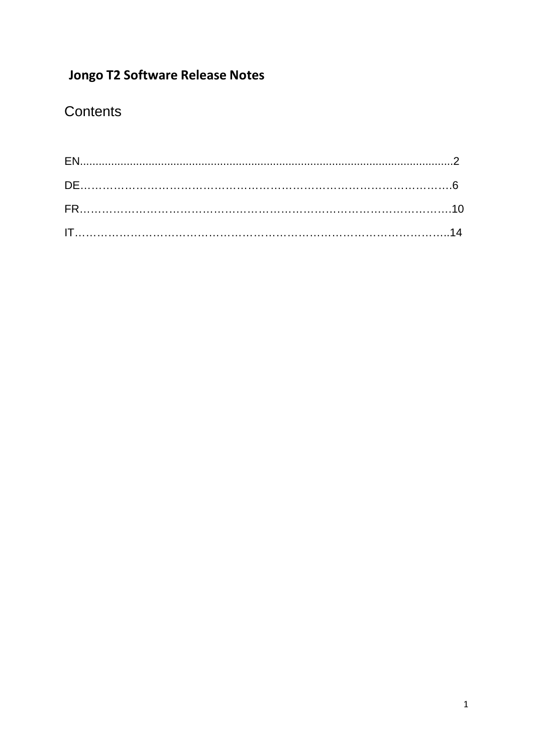# **Jongo T2 Software Release Notes**

# Contents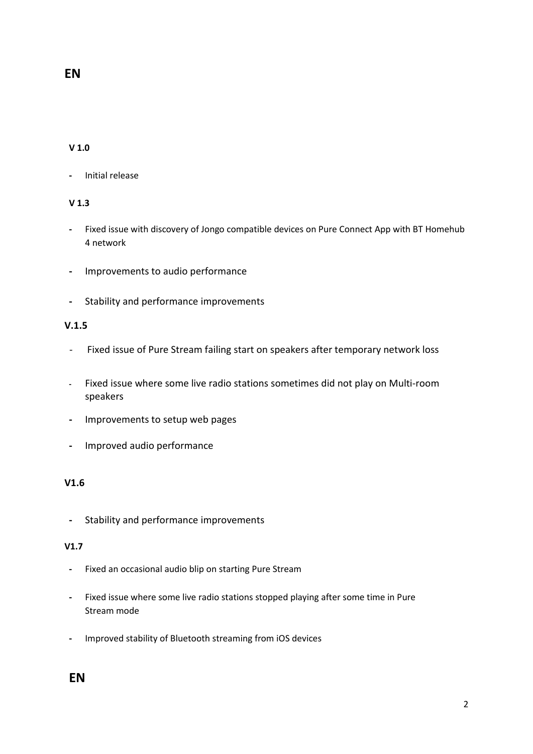## **EN**

#### **V 1.0**

**-** Initial release

#### **V 1.3**

- **-** Fixed issue with discovery of Jongo compatible devices on Pure Connect App with BT Homehub 4 network
- **-** Improvements to audio performance
- **-** Stability and performance improvements

#### **V.1.5**

- Fixed issue of Pure Stream failing start on speakers after temporary network loss
- **-** Fixed issue where some live radio stations sometimes did not play on Multi-room speakers
- **-** Improvements to setup web pages
- **-** Improved audio performance

#### **V1.6**

**-** Stability and performance improvements

#### **V1.7**

- **-** Fixed an occasional audio blip on starting Pure Stream
- **-** Fixed issue where some live radio stations stopped playing after some time in Pure Stream mode
- **-** Improved stability of Bluetooth streaming from iOS devices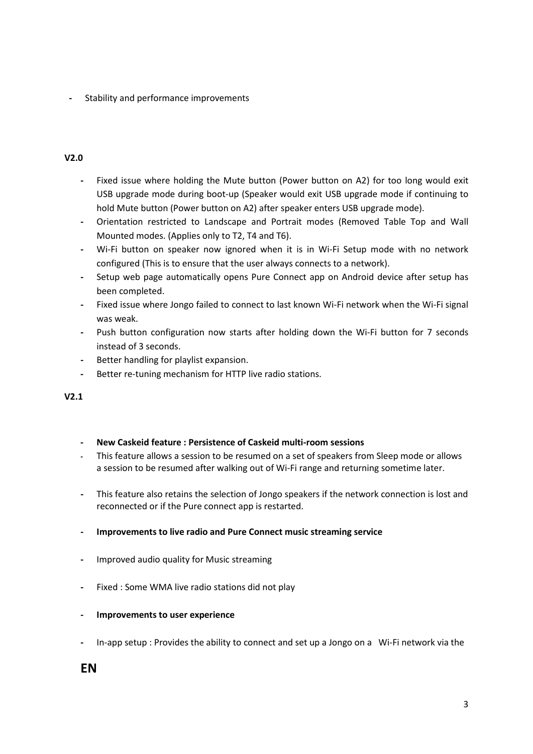**-** Stability and performance improvements

#### **V2.0**

- **-** Fixed issue where holding the Mute button (Power button on A2) for too long would exit USB upgrade mode during boot-up (Speaker would exit USB upgrade mode if continuing to hold Mute button (Power button on A2) after speaker enters USB upgrade mode).
- **-** Orientation restricted to Landscape and Portrait modes (Removed Table Top and Wall Mounted modes. (Applies only to T2, T4 and T6).
- **-** Wi-Fi button on speaker now ignored when it is in Wi-Fi Setup mode with no network configured (This is to ensure that the user always connects to a network).
- **-** Setup web page automatically opens Pure Connect app on Android device after setup has been completed.
- **-** Fixed issue where Jongo failed to connect to last known Wi-Fi network when the Wi-Fi signal was weak.
- **-** Push button configuration now starts after holding down the Wi-Fi button for 7 seconds instead of 3 seconds.
- **-** Better handling for playlist expansion.
- **-** Better re-tuning mechanism for HTTP live radio stations.

#### **V2.1**

- **- New Caskeid feature : Persistence of Caskeid multi-room sessions**
- **-** This feature allows a session to be resumed on a set of speakers from Sleep mode or allows a session to be resumed after walking out of Wi-Fi range and returning sometime later.
- **-** This feature also retains the selection of Jongo speakers if the network connection is lost and reconnected or if the Pure connect app is restarted.
- **- Improvements to live radio and Pure Connect music streaming service**
- **-** Improved audio quality for Music streaming
- **-** Fixed : Some WMA live radio stations did not play
- **- Improvements to user experience**
- **-** In-app setup : Provides the ability to connect and set up a Jongo on a Wi-Fi network via the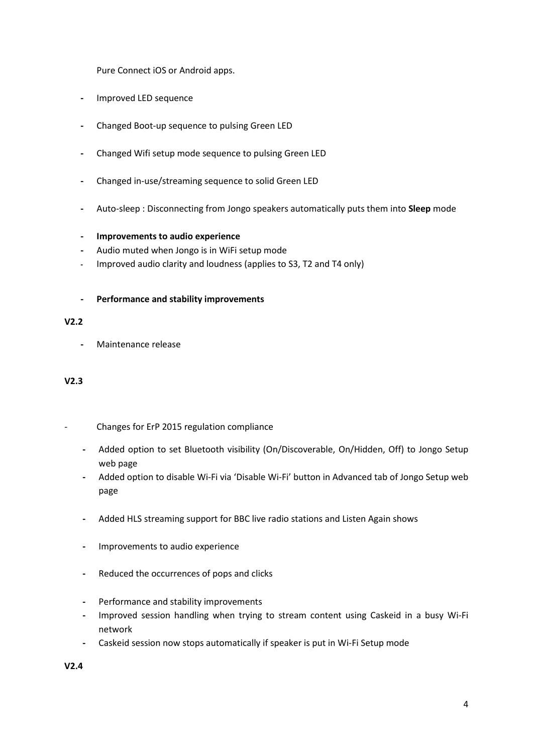Pure Connect iOS or Android apps.

- **-** Improved LED sequence
- **-** Changed Boot-up sequence to pulsing Green LED
- **-** Changed Wifi setup mode sequence to pulsing Green LED
- **-** Changed in-use/streaming sequence to solid Green LED
- **-** Auto-sleep : Disconnecting from Jongo speakers automatically puts them into **Sleep** mode
- **- Improvements to audio experience**
- **-** Audio muted when Jongo is in WiFi setup mode
- **-** Improved audio clarity and loudness (applies to S3, T2 and T4 only)
- **- Performance and stability improvements**

#### **V2.2**

**-** Maintenance release

#### **V2.3**

- Changes for ErP 2015 regulation compliance
	- **-** Added option to set Bluetooth visibility (On/Discoverable, On/Hidden, Off) to Jongo Setup web page
	- **-** Added option to disable Wi-Fi via 'Disable Wi-Fi' button in Advanced tab of Jongo Setup web page
	- **-** Added HLS streaming support for BBC live radio stations and Listen Again shows
	- **-** Improvements to audio experience
	- **-** Reduced the occurrences of pops and clicks
	- **-** Performance and stability improvements
	- **-** Improved session handling when trying to stream content using Caskeid in a busy Wi-Fi network
	- **-** Caskeid session now stops automatically if speaker is put in Wi-Fi Setup mode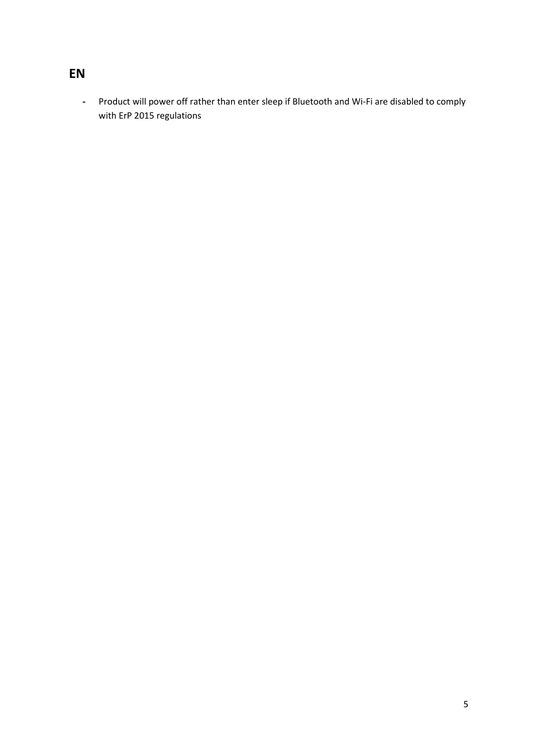## **EN**

**-** Product will power off rather than enter sleep if Bluetooth and Wi-Fi are disabled to comply with ErP 2015 regulations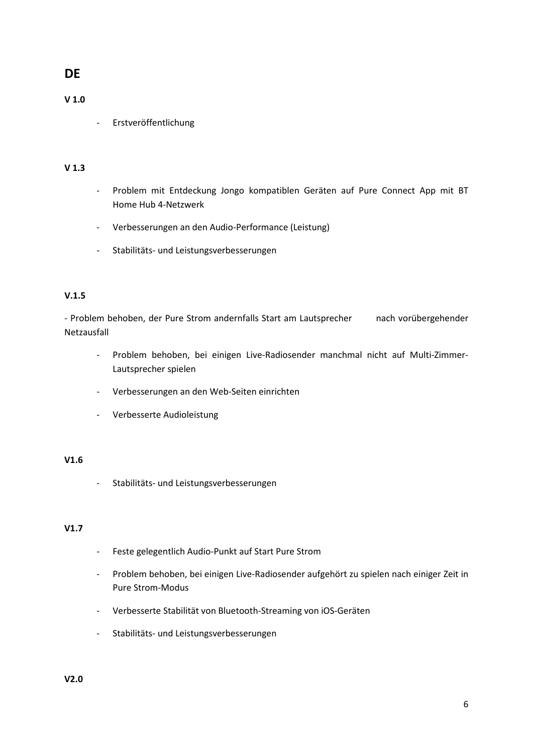## **DE**

#### **V 1.0**

- Erstveröffentlichung

#### **V 1.3**

- Problem mit Entdeckung Jongo kompatiblen Geräten auf Pure Connect App mit BT Home Hub 4-Netzwerk
- Verbesserungen an den Audio-Performance (Leistung)
- Stabilitäts- und Leistungsverbesserungen

#### **V.1.5**

- Problem behoben, der Pure Strom andernfalls Start am Lautsprecher nach vorübergehender Netzausfall

- Problem behoben, bei einigen Live-Radiosender manchmal nicht auf Multi-Zimmer-Lautsprecher spielen
- Verbesserungen an den Web-Seiten einrichten
- Verbesserte Audioleistung

#### **V1.6**

- Stabilitäts- und Leistungsverbesserungen

#### **V1.7**

- Feste gelegentlich Audio-Punkt auf Start Pure Strom
- Problem behoben, bei einigen Live-Radiosender aufgehört zu spielen nach einiger Zeit in Pure Strom-Modus
- Verbesserte Stabilität von Bluetooth-Streaming von iOS-Geräten
- Stabilitäts- und Leistungsverbesserungen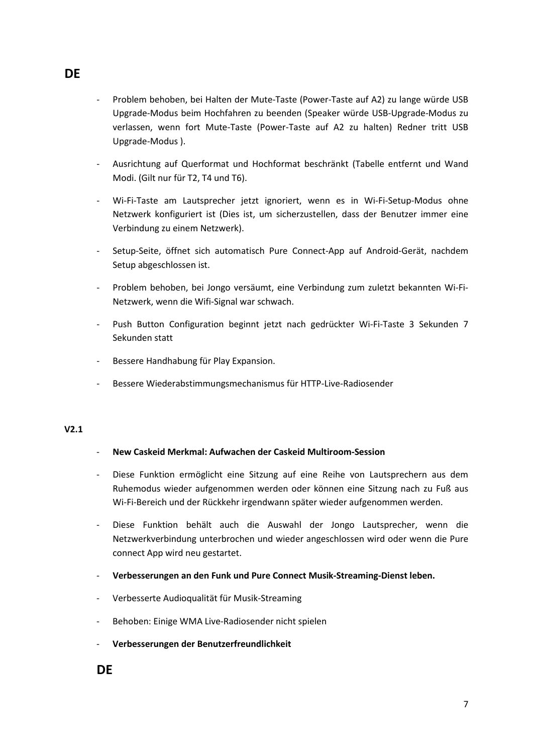- Problem behoben, bei Halten der Mute-Taste (Power-Taste auf A2) zu lange würde USB Upgrade-Modus beim Hochfahren zu beenden (Speaker würde USB-Upgrade-Modus zu verlassen, wenn fort Mute-Taste (Power-Taste auf A2 zu halten) Redner tritt USB Upgrade-Modus ).
- Ausrichtung auf Querformat und Hochformat beschränkt (Tabelle entfernt und Wand Modi. (Gilt nur für T2, T4 und T6).
- Wi-Fi-Taste am Lautsprecher jetzt ignoriert, wenn es in Wi-Fi-Setup-Modus ohne Netzwerk konfiguriert ist (Dies ist, um sicherzustellen, dass der Benutzer immer eine Verbindung zu einem Netzwerk).
- Setup-Seite, öffnet sich automatisch Pure Connect-App auf Android-Gerät, nachdem Setup abgeschlossen ist.
- Problem behoben, bei Jongo versäumt, eine Verbindung zum zuletzt bekannten Wi-Fi-Netzwerk, wenn die Wifi-Signal war schwach.
- Push Button Configuration beginnt jetzt nach gedrückter Wi-Fi-Taste 3 Sekunden 7 Sekunden statt
- Bessere Handhabung für Play Expansion.
- Bessere Wiederabstimmungsmechanismus für HTTP-Live-Radiosender

#### - **New Caskeid Merkmal: Aufwachen der Caskeid Multiroom-Session**

- Diese Funktion ermöglicht eine Sitzung auf eine Reihe von Lautsprechern aus dem Ruhemodus wieder aufgenommen werden oder können eine Sitzung nach zu Fuß aus Wi-Fi-Bereich und der Rückkehr irgendwann später wieder aufgenommen werden.
- Diese Funktion behält auch die Auswahl der Jongo Lautsprecher, wenn die Netzwerkverbindung unterbrochen und wieder angeschlossen wird oder wenn die Pure connect App wird neu gestartet.
- **Verbesserungen an den Funk und Pure Connect Musik-Streaming-Dienst leben.**
- Verbesserte Audioqualität für Musik-Streaming
- Behoben: Einige WMA Live-Radiosender nicht spielen
- **Verbesserungen der Benutzerfreundlichkeit**

**DE**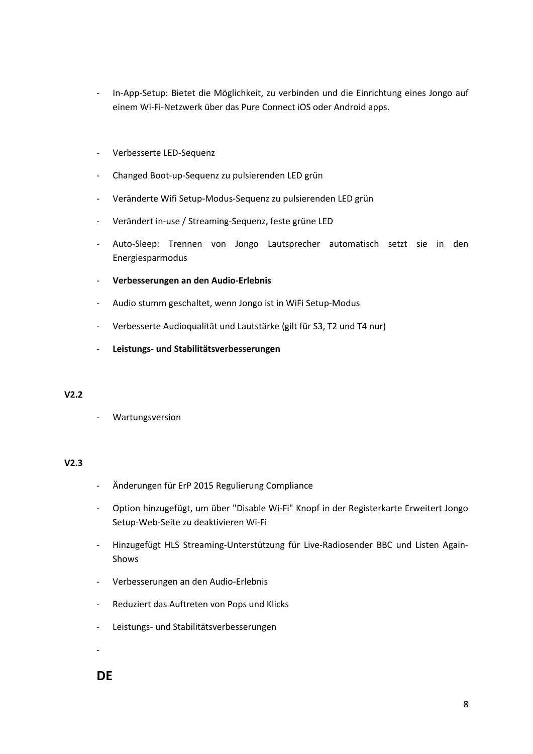- In-App-Setup: Bietet die Möglichkeit, zu verbinden und die Einrichtung eines Jongo auf einem Wi-Fi-Netzwerk über das Pure Connect iOS oder Android apps.
- Verbesserte LED-Sequenz
- Changed Boot-up-Sequenz zu pulsierenden LED grün
- Veränderte Wifi Setup-Modus-Sequenz zu pulsierenden LED grün
- Verändert in-use / Streaming-Sequenz, feste grüne LED
- Auto-Sleep: Trennen von Jongo Lautsprecher automatisch setzt sie in den Energiesparmodus
- **Verbesserungen an den Audio-Erlebnis**
- Audio stumm geschaltet, wenn Jongo ist in WiFi Setup-Modus
- Verbesserte Audioqualität und Lautstärke (gilt für S3, T2 und T4 nur)
- **Leistungs- und Stabilitätsverbesserungen**

- Wartungsversion

#### **V2.3**

- Änderungen für ErP 2015 Regulierung Compliance
- Option hinzugefügt, um über "Disable Wi-Fi" Knopf in der Registerkarte Erweitert Jongo Setup-Web-Seite zu deaktivieren Wi-Fi
- Hinzugefügt HLS Streaming-Unterstützung für Live-Radiosender BBC und Listen Again-Shows
- Verbesserungen an den Audio-Erlebnis
- Reduziert das Auftreten von Pops und Klicks
- Leistungs- und Stabilitätsverbesserungen

## **DE**

-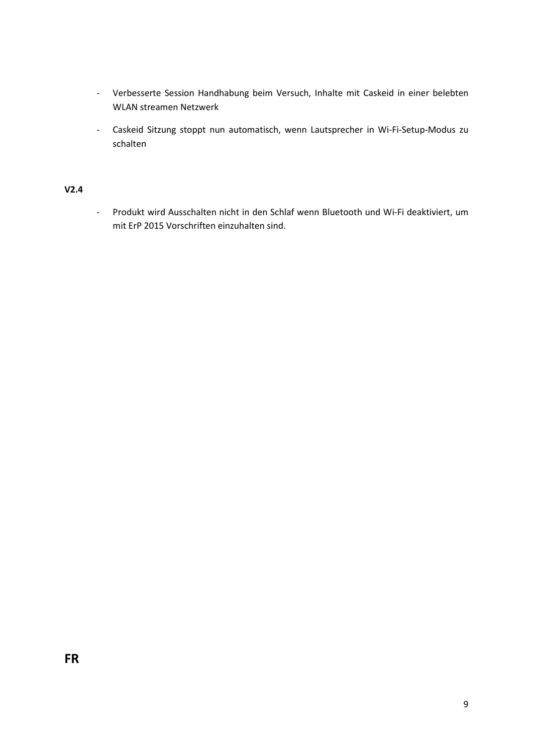- Verbesserte Session Handhabung beim Versuch, Inhalte mit Caskeid in einer belebten WLAN streamen Netzwerk
- Caskeid Sitzung stoppt nun automatisch, wenn Lautsprecher in Wi-Fi-Setup-Modus zu schalten

- Produkt wird Ausschalten nicht in den Schlaf wenn Bluetooth und Wi-Fi deaktiviert, um mit ErP 2015 Vorschriften einzuhalten sind.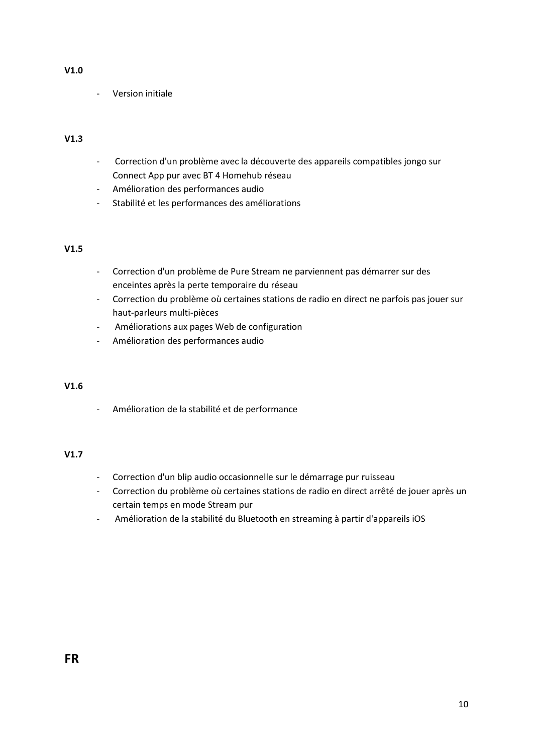#### **V1.0**

- Version initiale

#### **V1.3**

- Correction d'un problème avec la découverte des appareils compatibles jongo sur Connect App pur avec BT 4 Homehub réseau
- Amélioration des performances audio
- Stabilité et les performances des améliorations

#### **V1.5**

- Correction d'un problème de Pure Stream ne parviennent pas démarrer sur des enceintes après la perte temporaire du réseau
- Correction du problème où certaines stations de radio en direct ne parfois pas jouer sur haut-parleurs multi-pièces
- Améliorations aux pages Web de configuration
- Amélioration des performances audio

#### **V1.6**

- Amélioration de la stabilité et de performance

#### **V1.7**

- Correction d'un blip audio occasionnelle sur le démarrage pur ruisseau
- Correction du problème où certaines stations de radio en direct arrêté de jouer après un certain temps en mode Stream pur
- Amélioration de la stabilité du Bluetooth en streaming à partir d'appareils iOS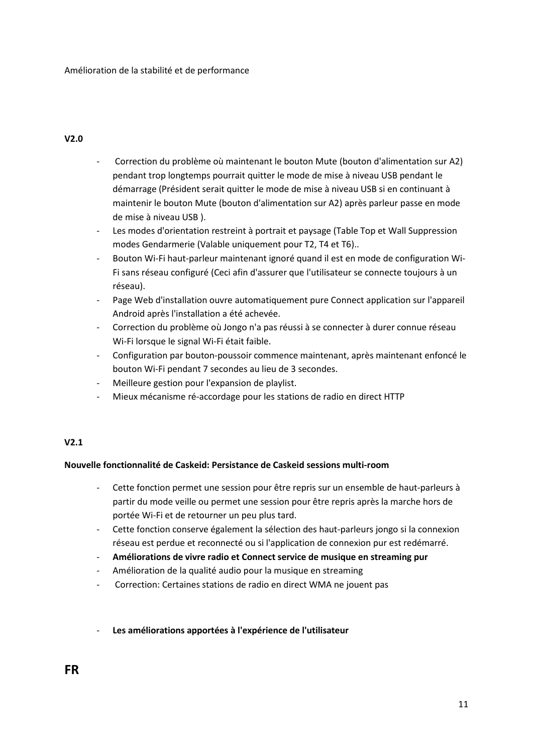- Correction du problème où maintenant le bouton Mute (bouton d'alimentation sur A2) pendant trop longtemps pourrait quitter le mode de mise à niveau USB pendant le démarrage (Président serait quitter le mode de mise à niveau USB si en continuant à maintenir le bouton Mute (bouton d'alimentation sur A2) après parleur passe en mode de mise à niveau USB ).
- Les modes d'orientation restreint à portrait et paysage (Table Top et Wall Suppression modes Gendarmerie (Valable uniquement pour T2, T4 et T6)..
- Bouton Wi-Fi haut-parleur maintenant ignoré quand il est en mode de configuration Wi-Fi sans réseau configuré (Ceci afin d'assurer que l'utilisateur se connecte toujours à un réseau).
- Page Web d'installation ouvre automatiquement pure Connect application sur l'appareil Android après l'installation a été achevée.
- Correction du problème où Jongo n'a pas réussi à se connecter à durer connue réseau Wi-Fi lorsque le signal Wi-Fi était faible.
- Configuration par bouton-poussoir commence maintenant, après maintenant enfoncé le bouton Wi-Fi pendant 7 secondes au lieu de 3 secondes.
- Meilleure gestion pour l'expansion de playlist.
- Mieux mécanisme ré-accordage pour les stations de radio en direct HTTP

#### **V2.1**

#### **Nouvelle fonctionnalité de Caskeid: Persistance de Caskeid sessions multi-room**

- Cette fonction permet une session pour être repris sur un ensemble de haut-parleurs à partir du mode veille ou permet une session pour être repris après la marche hors de portée Wi-Fi et de retourner un peu plus tard.
- Cette fonction conserve également la sélection des haut-parleurs jongo si la connexion réseau est perdue et reconnecté ou si l'application de connexion pur est redémarré.
- **Améliorations de vivre radio et Connect service de musique en streaming pur**
- Amélioration de la qualité audio pour la musique en streaming
- Correction: Certaines stations de radio en direct WMA ne jouent pas
- **Les améliorations apportées à l'expérience de l'utilisateur**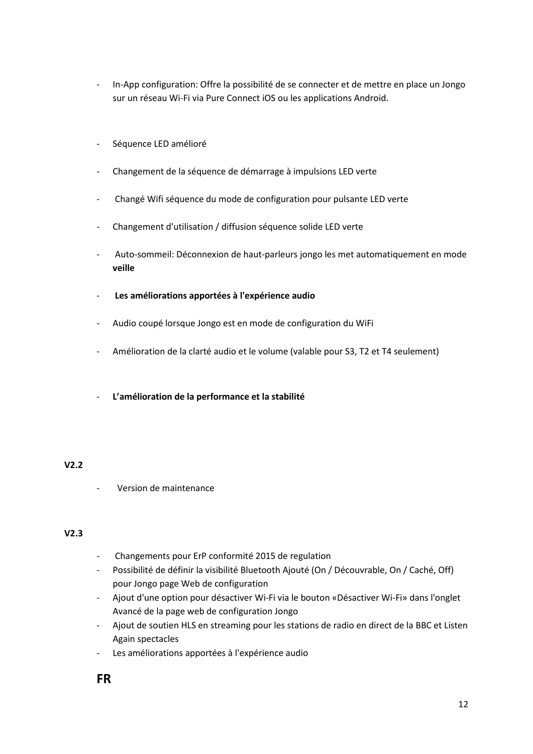- In-App configuration: Offre la possibilité de se connecter et de mettre en place un Jongo sur un réseau Wi-Fi via Pure Connect iOS ou les applications Android.
- Séquence LED amélioré
- Changement de la séquence de démarrage à impulsions LED verte
- Changé Wifi séquence du mode de configuration pour pulsante LED verte
- Changement d'utilisation / diffusion séquence solide LED verte
- Auto-sommeil: Déconnexion de haut-parleurs jongo les met automatiquement en mode **veille**
- **Les améliorations apportées à l'expérience audio**
- Audio coupé lorsque Jongo est en mode de configuration du WiFi
- Amélioration de la clarté audio et le volume (valable pour S3, T2 et T4 seulement)
- **L'amélioration de la performance et la stabilité**

- Version de maintenance

#### **V2.3**

- Changements pour ErP conformité 2015 de regulation
- Possibilité de définir la visibilité Bluetooth Ajouté (On / Découvrable, On / Caché, Off) pour Jongo page Web de configuration
- Ajout d'une option pour désactiver Wi-Fi via le bouton «Désactiver Wi-Fi» dans l'onglet Avancé de la page web de configuration Jongo
- Ajout de soutien HLS en streaming pour les stations de radio en direct de la BBC et Listen Again spectacles
- Les améliorations apportées à l'expérience audio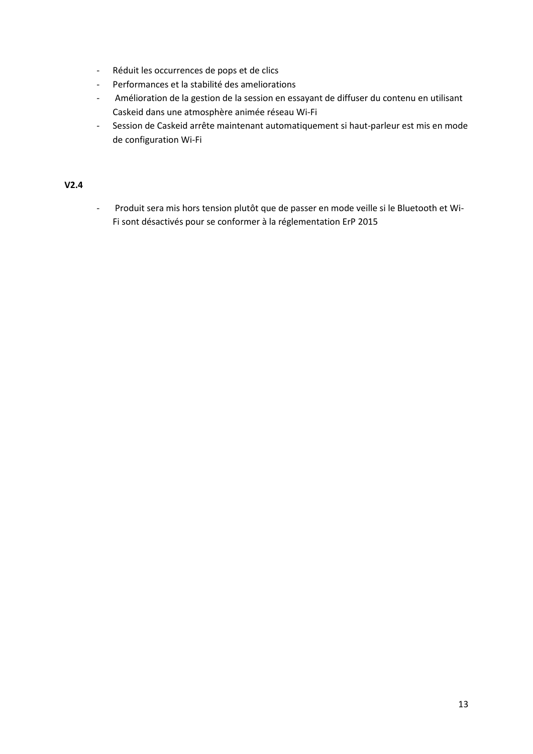- Réduit les occurrences de pops et de clics
- Performances et la stabilité des ameliorations
- Amélioration de la gestion de la session en essayant de diffuser du contenu en utilisant Caskeid dans une atmosphère animée réseau Wi-Fi
- Session de Caskeid arrête maintenant automatiquement si haut-parleur est mis en mode de configuration Wi-Fi

- Produit sera mis hors tension plutôt que de passer en mode veille si le Bluetooth et Wi-Fi sont désactivés pour se conformer à la réglementation ErP 2015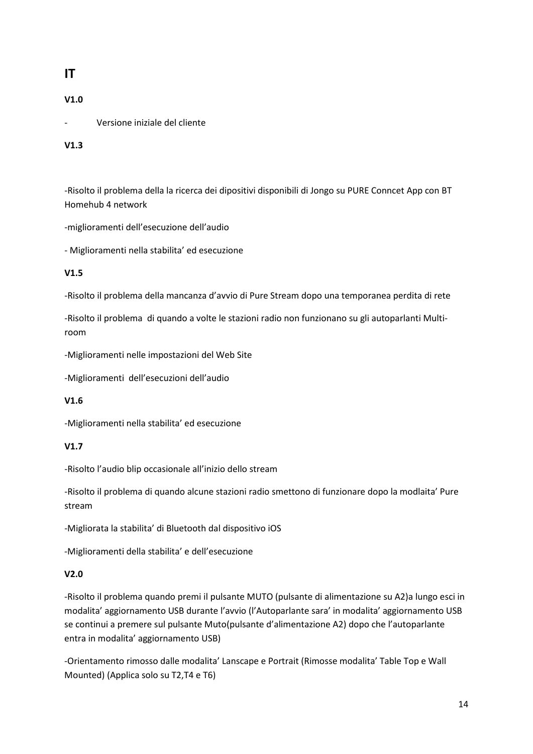## **IT**

### **V1.0**

- Versione iniziale del cliente

#### **V1.3**

-Risolto il problema della la ricerca dei dipositivi disponibili di Jongo su PURE Conncet App con BT Homehub 4 network

-miglioramenti dell'esecuzione dell'audio

- Miglioramenti nella stabilita' ed esecuzione

#### **V1.5**

-Risolto il problema della mancanza d'avvio di Pure Stream dopo una temporanea perdita di rete

-Risolto il problema di quando a volte le stazioni radio non funzionano su gli autoparlanti Multiroom

-Miglioramenti nelle impostazioni del Web Site

-Miglioramenti dell'esecuzioni dell'audio

#### **V1.6**

-Miglioramenti nella stabilita' ed esecuzione

#### **V1.7**

-Risolto l'audio blip occasionale all'inizio dello stream

-Risolto il problema di quando alcune stazioni radio smettono di funzionare dopo la modlaita' Pure stream

-Migliorata la stabilita' di Bluetooth dal dispositivo iOS

-Miglioramenti della stabilita' e dell'esecuzione

#### **V2.0**

-Risolto il problema quando premi il pulsante MUTO (pulsante di alimentazione su A2)a lungo esci in modalita' aggiornamento USB durante l'avvio (l'Autoparlante sara' in modalita' aggiornamento USB se continui a premere sul pulsante Muto(pulsante d'alimentazione A2) dopo che l'autoparlante entra in modalita' aggiornamento USB)

-Orientamento rimosso dalle modalita' Lanscape e Portrait (Rimosse modalita' Table Top e Wall Mounted) (Applica solo su T2,T4 e T6)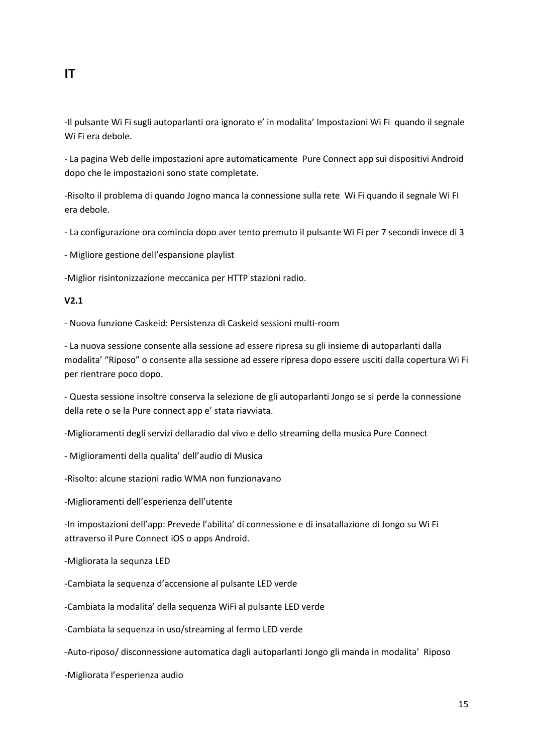## **IT**

-Il pulsante Wi Fi sugli autoparlanti ora ignorato e' in modalita' Impostazioni Wi Fi quando il segnale Wi Fi era debole.

- La pagina Web delle impostazioni apre automaticamente Pure Connect app sui dispositivi Android dopo che le impostazioni sono state completate.

-Risolto il problema di quando Jogno manca la connessione sulla rete Wi Fi quando il segnale Wi FI era debole.

- La configurazione ora comincia dopo aver tento premuto il pulsante Wi Fi per 7 secondi invece di 3

- Migliore gestione dell'espansione playlist

-Miglior risintonizzazione meccanica per HTTP stazioni radio.

#### **V2.1**

- Nuova funzione Caskeid: Persistenza di Caskeid sessioni multi-room

- La nuova sessione consente alla sessione ad essere ripresa su gli insieme di autoparlanti dalla modalita' "Riposo" o consente alla sessione ad essere ripresa dopo essere usciti dalla copertura Wi Fi per rientrare poco dopo.

- Questa sessione insoltre conserva la selezione de gli autoparlanti Jongo se si perde la connessione della rete o se la Pure connect app e' stata riavviata.

-Miglioramenti degli servizi dellaradio dal vivo e dello streaming della musica Pure Connect

- Miglioramenti della qualita' dell'audio di Musica

-Risolto: alcune stazioni radio WMA non funzionavano

-Miglioramenti dell'esperienza dell'utente

-In impostazioni dell'app: Prevede l'abilita' di connessione e di insatallazione di Jongo su Wi Fi attraverso il Pure Connect iOS o apps Android.

- -Migliorata la sequnza LED
- -Cambiata la sequenza d'accensione al pulsante LED verde
- -Cambiata la modalita' della sequenza WiFi al pulsante LED verde
- -Cambiata la sequenza in uso/streaming al fermo LED verde
- -Auto-riposo/ disconnessione automatica dagli autoparlanti Jongo gli manda in modalita' Riposo
- -Migliorata l'esperienza audio